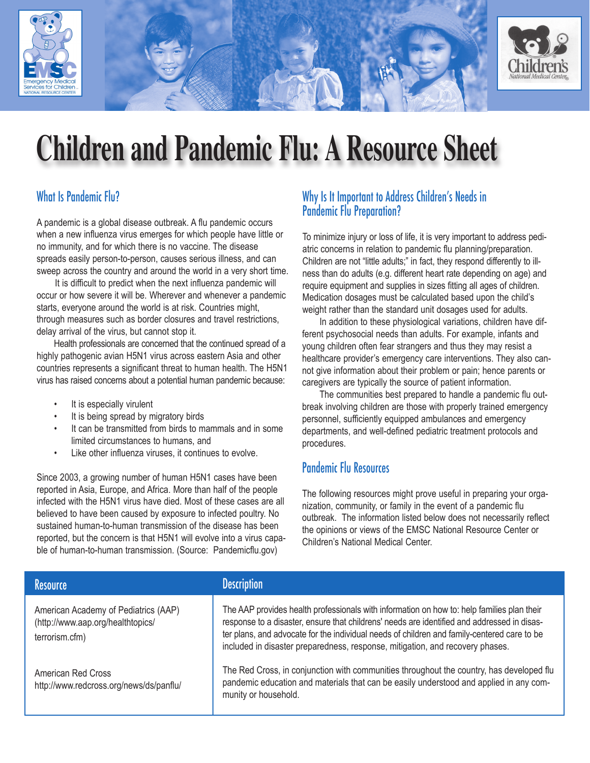

# **Children and Pandemic Flu: A Resource Sheet**

# What Is Pandemic Flu?

A pandemic is a global disease outbreak. A flu pandemic occurs when a new influenza virus emerges for which people have little or no immunity, and for which there is no vaccine. The disease spreads easily person-to-person, causes serious illness, and can sweep across the country and around the world in a very short time.

It is difficult to predict when the next influenza pandemic will occur or how severe it will be. Wherever and whenever a pandemic starts, everyone around the world is at risk. Countries might, through measures such as border closures and travel restrictions, delay arrival of the virus, but cannot stop it.

Health professionals are concerned that the continued spread of a highly pathogenic avian H5N1 virus across eastern Asia and other countries represents a significant threat to human health. The H5N1 virus has raised concerns about a potential human pandemic because:

- It is especially virulent
- It is being spread by migratory birds
- It can be transmitted from birds to mammals and in some limited circumstances to humans, and
- Like other influenza viruses, it continues to evolve.

Since 2003, a growing number of human H5N1 cases have been reported in Asia, Europe, and Africa. More than half of the people infected with the H5N1 virus have died. Most of these cases are all believed to have been caused by exposure to infected poultry. No sustained human-to-human transmission of the disease has been reported, but the concern is that H5N1 will evolve into a virus capable of human-to-human transmission. (Source: Pandemicflu.gov)

#### Why Is It Important to Address Children's Needs in Pandemic Flu Preparation?

To minimize injury or loss of life, it is very important to address pediatric concerns in relation to pandemic flu planning/preparation. Children are not "little adults;" in fact, they respond differently to illness than do adults (e.g. different heart rate depending on age) and require equipment and supplies in sizes fitting all ages of children. Medication dosages must be calculated based upon the child's weight rather than the standard unit dosages used for adults.

In addition to these physiological variations, children have different psychosocial needs than adults. For example, infants and young children often fear strangers and thus they may resist a healthcare provider's emergency care interventions. They also cannot give information about their problem or pain; hence parents or caregivers are typically the source of patient information.

The communities best prepared to handle a pandemic flu outbreak involving children are those with properly trained emergency personnel, sufficiently equipped ambulances and emergency departments, and well-defined pediatric treatment protocols and procedures.

### Pandemic Flu Resources

The following resources might prove useful in preparing your organization, community, or family in the event of a pandemic flu outbreak. The information listed below does not necessarily reflect the opinions or views of the EMSC National Resource Center or Children's National Medical Center.

| <b>Resource</b>                                                                             | <b>Description</b>                                                                                                                                                                                                                                                                                                                                                        |
|---------------------------------------------------------------------------------------------|---------------------------------------------------------------------------------------------------------------------------------------------------------------------------------------------------------------------------------------------------------------------------------------------------------------------------------------------------------------------------|
| American Academy of Pediatrics (AAP)<br>(http://www.aap.org/healthtopics/<br>terrorism.cfm) | The AAP provides health professionals with information on how to: help families plan their<br>response to a disaster, ensure that childrens' needs are identified and addressed in disas-<br>ter plans, and advocate for the individual needs of children and family-centered care to be<br>included in disaster preparedness, response, mitigation, and recovery phases. |
| American Red Cross<br>http://www.redcross.org/news/ds/panflu/                               | The Red Cross, in conjunction with communities throughout the country, has developed flu<br>pandemic education and materials that can be easily understood and applied in any com-<br>munity or household.                                                                                                                                                                |